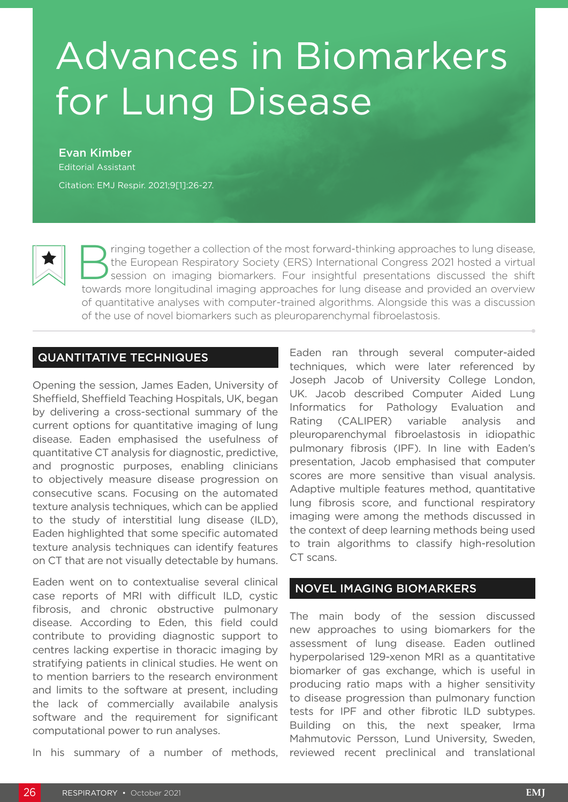# Advances in Biomarkers for Lung Disease

Evan Kimber

Editorial Assistant

Citation: EMJ Respir. 2021;9[1]:26-27.



Supering together a collection of the most forward-thinking approaches to lung disease,<br>
the European Respiratory Society (ERS) International Congress 2021 hosted a virtual<br>
session on imaging biomarkers. Four insightful p the European Respiratory Society (ERS) International Congress 2021 hosted a virtual towards more longitudinal imaging approaches for lung disease and provided an overview of quantitative analyses with computer-trained algorithms. Alongside this was a discussion of the use of novel biomarkers such as pleuroparenchymal fibroelastosis.

# QUANTITATIVE TECHNIQUES

Opening the session, James Eaden, University of Sheffield, Sheffield Teaching Hospitals, UK, began by delivering a cross-sectional summary of the current options for quantitative imaging of lung disease. Eaden emphasised the usefulness of quantitative CT analysis for diagnostic, predictive, and prognostic purposes, enabling clinicians to objectively measure disease progression on consecutive scans. Focusing on the automated texture analysis techniques, which can be applied to the study of interstitial lung disease (ILD), Eaden highlighted that some specific automated texture analysis techniques can identify features on CT that are not visually detectable by humans.

Eaden went on to contextualise several clinical case reports of MRI with difficult ILD, cystic fibrosis, and chronic obstructive pulmonary disease. According to Eden, this field could contribute to providing diagnostic support to centres lacking expertise in thoracic imaging by stratifying patients in clinical studies. He went on to mention barriers to the research environment and limits to the software at present, including the lack of commercially availabile analysis software and the requirement for significant computational power to run analyses.

In his summary of a number of methods,

Eaden ran through several computer-aided techniques, which were later referenced by Joseph Jacob of University College London, UK. Jacob described Computer Aided Lung Informatics for Pathology Evaluation and Rating (CALIPER) variable analysis and pleuroparenchymal fibroelastosis in idiopathic pulmonary fibrosis (IPF). In line with Eaden's presentation, Jacob emphasised that computer scores are more sensitive than visual analysis. Adaptive multiple features method, quantitative lung fibrosis score, and functional respiratory imaging were among the methods discussed in the context of deep learning methods being used to train algorithms to classify high-resolution CT scans.

### NOVEL IMAGING BIOMARKERS

The main body of the session discussed new approaches to using biomarkers for the assessment of lung disease. Eaden outlined hyperpolarised 129-xenon MRI as a quantitative biomarker of gas exchange, which is useful in producing ratio maps with a higher sensitivity to disease progression than pulmonary function tests for IPF and other fibrotic ILD subtypes. Building on this, the next speaker, Irma Mahmutovic Persson, Lund University, Sweden, reviewed recent preclinical and translational